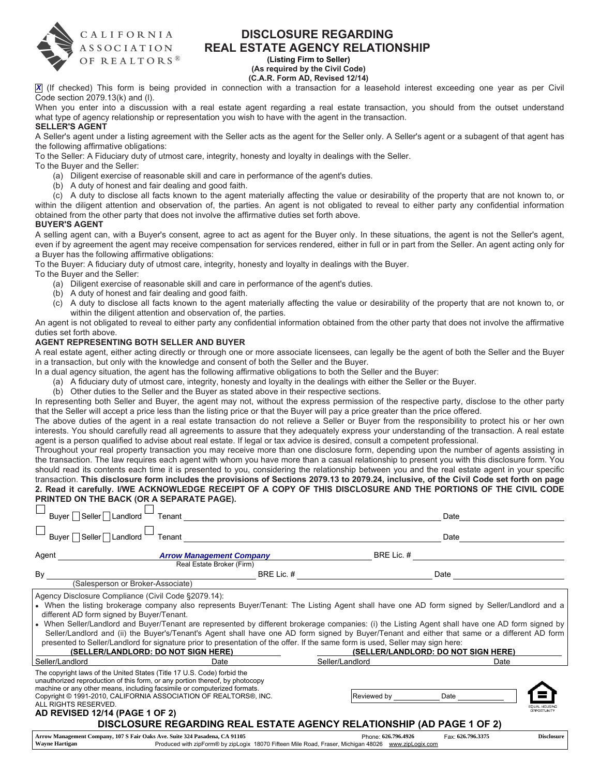

# DISCLOSURE REGARDING REAL ESTATE AGENCY RELATIONSHIP (Listing Firm to Seller)

(As required by the Civil Code)

(C.A.R. Form AD, Revised 12/14)

(If checked) This form is being provided in connection with a transaction for a leasehold interest exceeding one year as per Civil *X* Code section 2079.13(k) and (l).

When you enter into a discussion with a real estate agent regarding a real estate transaction, you should from the outset understand what type of agency relationship or representation you wish to have with the agent in the transaction.

## SELLER'S AGENT

A Seller's agent under a listing agreement with the Seller acts as the agent for the Seller only. A Seller's agent or a subagent of that agent has the following affirmative obligations:

To the Seller: A Fiduciary duty of utmost care, integrity, honesty and loyalty in dealings with the Seller.

To the Buyer and the Seller:

(a) Diligent exercise of reasonable skill and care in performance of the agent's duties.

(b) A duty of honest and fair dealing and good faith.

(c) A duty to disclose all facts known to the agent materially affecting the value or desirability of the property that are not known to, or within the diligent attention and observation of, the parties. An agent is not obligated to reveal to either party any confidential information obtained from the other party that does not involve the affirmative duties set forth above.

## BUYER'S AGENT

A selling agent can, with a Buyer's consent, agree to act as agent for the Buyer only. In these situations, the agent is not the Seller's agent, even if by agreement the agent may receive compensation for services rendered, either in full or in part from the Seller. An agent acting only for a Buyer has the following affirmative obligations:

To the Buyer: A fiduciary duty of utmost care, integrity, honesty and loyalty in dealings with the Buyer.

To the Buyer and the Seller:

- (a) Diligent exercise of reasonable skill and care in performance of the agent's duties.
- (b) A duty of honest and fair dealing and good faith.
- (c) A duty to disclose all facts known to the agent materially affecting the value or desirability of the property that are not known to, or within the diligent attention and observation of, the parties.

An agent is not obligated to reveal to either party any confidential information obtained from the other party that does not involve the affirmative duties set forth above.

## AGENT REPRESENTING BOTH SELLER AND BUYER

A real estate agent, either acting directly or through one or more associate licensees, can legally be the agent of both the Seller and the Buyer in a transaction, but only with the knowledge and consent of both the Seller and the Buyer.

- In a dual agency situation, the agent has the following affirmative obligations to both the Seller and the Buyer:
	- (a) A fiduciary duty of utmost care, integrity, honesty and loyalty in the dealings with either the Seller or the Buyer.
	- (b) Other duties to the Seller and the Buyer as stated above in their respective sections.

In representing both Seller and Buyer, the agent may not, without the express permission of the respective party, disclose to the other party that the Seller will accept a price less than the listing price or that the Buyer will pay a price greater than the price offered.

The above duties of the agent in a real estate transaction do not relieve a Seller or Buyer from the responsibility to protect his or her own interests. You should carefully read all agreements to assure that they adequately express your understanding of the transaction. A real estate agent is a person qualified to advise about real estate. If legal or tax advice is desired, consult a competent professional.

Throughout your real property transaction you may receive more than one disclosure form, depending upon the number of agents assisting in the transaction. The law requires each agent with whom you have more than a casual relationship to present you with this disclosure form. You should read its contents each time it is presented to you, considering the relationship between you and the real estate agent in your specific transaction. This disclosure form includes the provisions of Sections 2079.13 to 2079.24, inclusive, of the Civil Code set forth on page 2. Read it carefully. I/WE ACKNOWLEDGE RECEIPT OF A COPY OF THIS DISCLOSURE AND THE PORTIONS OF THE CIVIL CODE PRINTED ON THE BACK (OR A SEPARATE PAGE).

| Seller Landlord                                                                                                                                                                                                                                                                                                                                                                                                                                                                                                                                                                                                                                                                                                                                                      | Tenant                                                                                                                                           |                 | Date |                   |
|----------------------------------------------------------------------------------------------------------------------------------------------------------------------------------------------------------------------------------------------------------------------------------------------------------------------------------------------------------------------------------------------------------------------------------------------------------------------------------------------------------------------------------------------------------------------------------------------------------------------------------------------------------------------------------------------------------------------------------------------------------------------|--------------------------------------------------------------------------------------------------------------------------------------------------|-----------------|------|-------------------|
| Seller <sup>1</sup> Landlord<br>Tenant<br><b>Buver</b>                                                                                                                                                                                                                                                                                                                                                                                                                                                                                                                                                                                                                                                                                                               |                                                                                                                                                  |                 | Date |                   |
| Agent                                                                                                                                                                                                                                                                                                                                                                                                                                                                                                                                                                                                                                                                                                                                                                | <b>Arrow Management Company</b>                                                                                                                  | BRE Lic. #      |      |                   |
|                                                                                                                                                                                                                                                                                                                                                                                                                                                                                                                                                                                                                                                                                                                                                                      | Real Estate Broker (Firm)                                                                                                                        |                 |      |                   |
| By                                                                                                                                                                                                                                                                                                                                                                                                                                                                                                                                                                                                                                                                                                                                                                   | BRE Lic. #                                                                                                                                       |                 | Date |                   |
| (Salesperson or Broker-Associate)                                                                                                                                                                                                                                                                                                                                                                                                                                                                                                                                                                                                                                                                                                                                    |                                                                                                                                                  |                 |      |                   |
| Agency Disclosure Compliance (Civil Code §2079.14):<br>• When the listing brokerage company also represents Buyer/Tenant: The Listing Agent shall have one AD form signed by Seller/Landlord and a<br>different AD form signed by Buyer/Tenant.<br>• When Seller/Landlord and Buyer/Tenant are represented by different brokerage companies: (i) the Listing Agent shall have one AD form signed by<br>Seller/Landlord and (ii) the Buyer's/Tenant's Agent shall have one AD form signed by Buyer/Tenant and either that same or a different AD form<br>presented to Seller/Landlord for signature prior to presentation of the offer. If the same form is used, Seller may sign here:<br>(SELLER/LANDLORD: DO NOT SIGN HERE)<br>(SELLER/LANDLORD: DO NOT SIGN HERE) |                                                                                                                                                  |                 |      |                   |
| Seller/Landlord                                                                                                                                                                                                                                                                                                                                                                                                                                                                                                                                                                                                                                                                                                                                                      | Date                                                                                                                                             | Seller/Landlord | Date |                   |
| The copyright laws of the United States (Title 17 U.S. Code) forbid the<br>unauthorized reproduction of this form, or any portion thereof, by photocopy<br>machine or any other means, including facsimile or computerized formats.<br>ALL RIGHTS RESERVED.<br>AD REVISED 12/14 (PAGE 1 OF 2)                                                                                                                                                                                                                                                                                                                                                                                                                                                                        | Copyright © 1991-2010, CALIFORNIA ASSOCIATION OF REALTORS®, INC.<br><b>DISCLOSURE REGARDING REAL ESTATE AGENCY RELATIONSHIP (AD PAGE 1 OF 2)</b> | Reviewed by     | Date | <b>PPORTUNITY</b> |
| Arrow Management Company, 107 S Fair Oaks Ave. Suite 324 Pasadena, CA 91105<br>Fax: 626.796.3375<br>Phone: 626,796,4926                                                                                                                                                                                                                                                                                                                                                                                                                                                                                                                                                                                                                                              |                                                                                                                                                  |                 |      | <b>Disclosure</b> |
| <b>Wayne Hartigan</b><br>Produced with zipForm® by zipLogix 18070 Fifteen Mile Road, Fraser, Michigan 48026 www.zipLogix.com                                                                                                                                                                                                                                                                                                                                                                                                                                                                                                                                                                                                                                         |                                                                                                                                                  |                 |      |                   |